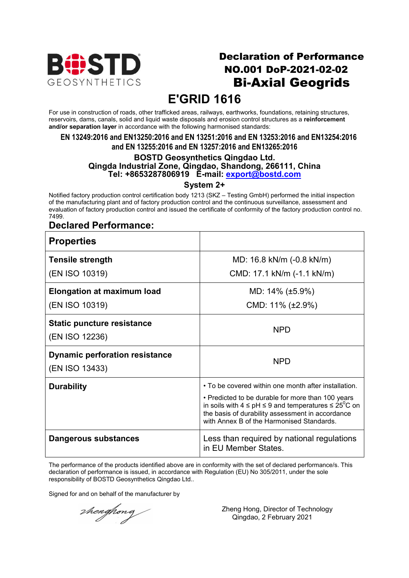

## Declaration of Performance NO.001 DoP-2021-02-02 Bi-Axial Geogrids

# **E'GRID 1616**

For use in construction of roads, other trafficked areas, railways, earthworks, foundations, retaining structures, reservoirs, dams, canals, solid and liquid waste disposals and erosion control structures as a **reinforcement and/or separation layer** in accordance with the following harmonised standards:

**EN 13249:2016 and EN13250:2016 and EN 13251:2016 and EN 13253:2016 and EN13254:2016 and EN 13255:2016 and EN 13257:2016 and EN13265:2016**

#### **BOSTD Geosynthetics Qingdao Ltd. Qingda Industrial Zone, Qingdao, Shandong, 266111, China Tel: +8653287806919 E-mail: export@bostd.com**

**System 2+**

Notified factory production control certification body 1213 (SKZ – Testing GmbH) performed the initial inspection of the manufacturing plant and of factory production control and the continuous surveillance, assessment and evaluation of factory production control and issued the certificate of conformity of the factory production control no. 7499.

### **Declared Performance:**

| <b>Properties</b>                                       |                                                                                                                                                                                                                               |
|---------------------------------------------------------|-------------------------------------------------------------------------------------------------------------------------------------------------------------------------------------------------------------------------------|
| <b>Tensile strength</b>                                 | MD: 16.8 kN/m (-0.8 kN/m)                                                                                                                                                                                                     |
| (EN ISO 10319)                                          | CMD: 17.1 kN/m (-1.1 kN/m)                                                                                                                                                                                                    |
| <b>Elongation at maximum load</b>                       | MD: $14\%$ (±5.9%)                                                                                                                                                                                                            |
| (EN ISO 10319)                                          | CMD: $11\%$ ( $\pm 2.9\%$ )                                                                                                                                                                                                   |
| <b>Static puncture resistance</b><br>(EN ISO 12236)     | <b>NPD</b>                                                                                                                                                                                                                    |
| <b>Dynamic perforation resistance</b><br>(EN ISO 13433) | <b>NPD</b>                                                                                                                                                                                                                    |
| <b>Durability</b>                                       | • To be covered within one month after installation.                                                                                                                                                                          |
|                                                         | • Predicted to be durable for more than 100 years<br>in soils with $4 \leq pH \leq 9$ and temperatures $\leq 25^{\circ}C$ on<br>the basis of durability assessment in accordance<br>with Annex B of the Harmonised Standards. |
| Dangerous substances                                    | Less than required by national regulations<br>in EU Member States.                                                                                                                                                            |

The performance of the products identified above are in conformity with the set of declared performance/s. This declaration of performance is issued, in accordance with Regulation (EU) No 305/2011, under the sole responsibility of BOSTD Geosynthetics Qingdao Ltd..

Signed for and on behalf of the manufacturer by

thenghong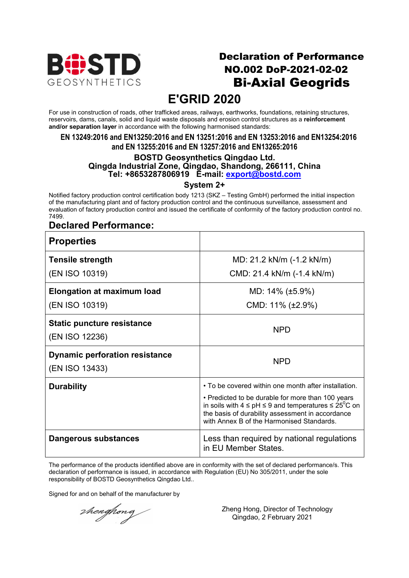

## Declaration of Performance NO.002 DoP-2021-02-02 Bi-Axial Geogrids

# **E'GRID 2020**

For use in construction of roads, other trafficked areas, railways, earthworks, foundations, retaining structures, reservoirs, dams, canals, solid and liquid waste disposals and erosion control structures as a **reinforcement and/or separation layer** in accordance with the following harmonised standards:

**EN 13249:2016 and EN13250:2016 and EN 13251:2016 and EN 13253:2016 and EN13254:2016 and EN 13255:2016 and EN 13257:2016 and EN13265:2016**

#### **BOSTD Geosynthetics Qingdao Ltd. Qingda Industrial Zone, Qingdao, Shandong, 266111, China Tel: +8653287806919 E-mail: export@bostd.com**

**System 2+**

Notified factory production control certification body 1213 (SKZ – Testing GmbH) performed the initial inspection of the manufacturing plant and of factory production control and the continuous surveillance, assessment and evaluation of factory production control and issued the certificate of conformity of the factory production control no. 7499.

### **Declared Performance:**

| <b>Properties</b>                                       |                                                                                                                                                                                                                               |
|---------------------------------------------------------|-------------------------------------------------------------------------------------------------------------------------------------------------------------------------------------------------------------------------------|
| <b>Tensile strength</b>                                 | MD: 21.2 kN/m (-1.2 kN/m)                                                                                                                                                                                                     |
| (EN ISO 10319)                                          | CMD: 21.4 kN/m (-1.4 kN/m)                                                                                                                                                                                                    |
| <b>Elongation at maximum load</b>                       | MD: $14\%$ (±5.9%)                                                                                                                                                                                                            |
| (EN ISO 10319)                                          | CMD: $11\%$ ( $\pm 2.9\%$ )                                                                                                                                                                                                   |
| <b>Static puncture resistance</b><br>(EN ISO 12236)     | <b>NPD</b>                                                                                                                                                                                                                    |
| <b>Dynamic perforation resistance</b><br>(EN ISO 13433) | <b>NPD</b>                                                                                                                                                                                                                    |
| <b>Durability</b>                                       | • To be covered within one month after installation.                                                                                                                                                                          |
|                                                         | • Predicted to be durable for more than 100 years<br>in soils with $4 \leq pH \leq 9$ and temperatures $\leq 25^{\circ}C$ on<br>the basis of durability assessment in accordance<br>with Annex B of the Harmonised Standards. |
| Dangerous substances                                    | Less than required by national regulations<br>in EU Member States.                                                                                                                                                            |

The performance of the products identified above are in conformity with the set of declared performance/s. This declaration of performance is issued, in accordance with Regulation (EU) No 305/2011, under the sole responsibility of BOSTD Geosynthetics Qingdao Ltd..

Signed for and on behalf of the manufacturer by

thenghong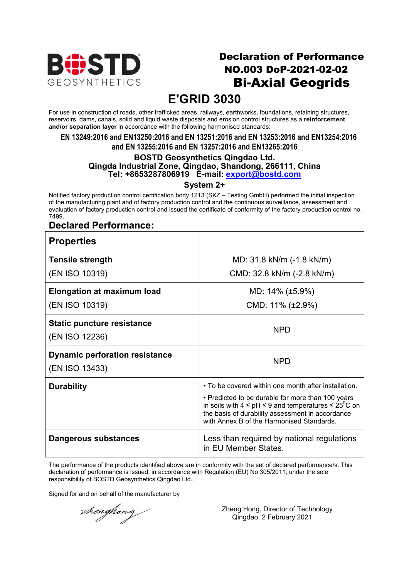

## Declaration of Performance NO.003 DoP-2021-02-02 Bi-Axial Geogrids

# **E'GRID 3030**

For use in construction of roads, other trafficked areas, railways, earthworks, foundations, retaining structures, reservoirs, dams, canals, solid and liquid waste disposals and erosion control structures as a **reinforcement and/or separation layer** in accordance with the following harmonised standards:

**EN 13249:2016 and EN13250:2016 and EN 13251:2016 and EN 13253:2016 and EN13254:2016 and EN 13255:2016 and EN 13257:2016 and EN13265:2016**

#### **BOSTD Geosynthetics Qingdao Ltd. Qingda Industrial Zone, Qingdao, Shandong, 266111, China Tel: +8653287806919 E-mail: export@bostd.com**

**System 2+**

Notified factory production control certification body 1213 (SKZ – Testing GmbH) performed the initial inspection of the manufacturing plant and of factory production control and the continuous surveillance, assessment and evaluation of factory production control and issued the certificate of conformity of the factory production control no. 7499.

### **Declared Performance:**

| <b>Properties</b>                                       |                                                                                                                                                                                                                               |
|---------------------------------------------------------|-------------------------------------------------------------------------------------------------------------------------------------------------------------------------------------------------------------------------------|
| <b>Tensile strength</b>                                 | MD: 31.8 kN/m (-1.8 kN/m)                                                                                                                                                                                                     |
| (EN ISO 10319)                                          | CMD: 32.8 kN/m (-2.8 kN/m)                                                                                                                                                                                                    |
| <b>Elongation at maximum load</b>                       | MD: $14\%$ (±5.9%)                                                                                                                                                                                                            |
| (EN ISO 10319)                                          | CMD: $11\%$ ( $\pm 2.9\%$ )                                                                                                                                                                                                   |
| <b>Static puncture resistance</b><br>(EN ISO 12236)     | NPD.                                                                                                                                                                                                                          |
| <b>Dynamic perforation resistance</b><br>(EN ISO 13433) | <b>NPD</b>                                                                                                                                                                                                                    |
| <b>Durability</b>                                       | • To be covered within one month after installation.                                                                                                                                                                          |
|                                                         | • Predicted to be durable for more than 100 years<br>in soils with $4 \leq pH \leq 9$ and temperatures $\leq 25^{\circ}C$ on<br>the basis of durability assessment in accordance<br>with Annex B of the Harmonised Standards. |
| Dangerous substances                                    | Less than required by national regulations<br>in EU Member States.                                                                                                                                                            |

The performance of the products identified above are in conformity with the set of declared performance/s. This declaration of performance is issued, in accordance with Regulation (EU) No 305/2011, under the sole responsibility of BOSTD Geosynthetics Qingdao Ltd..

Signed for and on behalf of the manufacturer by

thenghong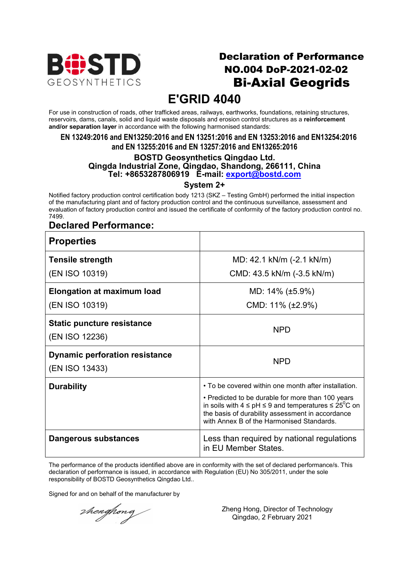

## Declaration of Performance NO.004 DoP-2021-02-02 Bi-Axial Geogrids

# **E'GRID 4040**

For use in construction of roads, other trafficked areas, railways, earthworks, foundations, retaining structures, reservoirs, dams, canals, solid and liquid waste disposals and erosion control structures as a **reinforcement and/or separation layer** in accordance with the following harmonised standards:

**EN 13249:2016 and EN13250:2016 and EN 13251:2016 and EN 13253:2016 and EN13254:2016 and EN 13255:2016 and EN 13257:2016 and EN13265:2016**

#### **BOSTD Geosynthetics Qingdao Ltd. Qingda Industrial Zone, Qingdao, Shandong, 266111, China Tel: +8653287806919 E-mail: export@bostd.com**

**System 2+**

Notified factory production control certification body 1213 (SKZ – Testing GmbH) performed the initial inspection of the manufacturing plant and of factory production control and the continuous surveillance, assessment and evaluation of factory production control and issued the certificate of conformity of the factory production control no. 7499.

### **Declared Performance:**

| <b>Properties</b>                                       |                                                                                                                                                                                                                               |
|---------------------------------------------------------|-------------------------------------------------------------------------------------------------------------------------------------------------------------------------------------------------------------------------------|
| <b>Tensile strength</b>                                 | MD: 42.1 kN/m (-2.1 kN/m)                                                                                                                                                                                                     |
| (EN ISO 10319)                                          | CMD: 43.5 kN/m (-3.5 kN/m)                                                                                                                                                                                                    |
| <b>Elongation at maximum load</b>                       | MD: $14\%$ (±5.9%)                                                                                                                                                                                                            |
| (EN ISO 10319)                                          | CMD: $11\%$ ( $\pm 2.9\%$ )                                                                                                                                                                                                   |
| <b>Static puncture resistance</b><br>(EN ISO 12236)     | <b>NPD</b>                                                                                                                                                                                                                    |
| <b>Dynamic perforation resistance</b><br>(EN ISO 13433) | <b>NPD</b>                                                                                                                                                                                                                    |
| <b>Durability</b>                                       | • To be covered within one month after installation.                                                                                                                                                                          |
|                                                         | • Predicted to be durable for more than 100 years<br>in soils with $4 \leq pH \leq 9$ and temperatures $\leq 25^{\circ}C$ on<br>the basis of durability assessment in accordance<br>with Annex B of the Harmonised Standards. |
| Dangerous substances                                    | Less than required by national regulations<br>in EU Member States.                                                                                                                                                            |

The performance of the products identified above are in conformity with the set of declared performance/s. This declaration of performance is issued, in accordance with Regulation (EU) No 305/2011, under the sole responsibility of BOSTD Geosynthetics Qingdao Ltd..

Signed for and on behalf of the manufacturer by

thenghong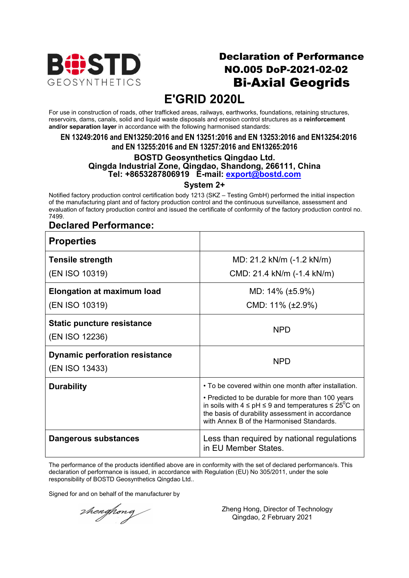

## Declaration of Performance NO.005 DoP-2021-02-02 Bi-Axial Geogrids

# **E'GRID 2020L**

For use in construction of roads, other trafficked areas, railways, earthworks, foundations, retaining structures, reservoirs, dams, canals, solid and liquid waste disposals and erosion control structures as a **reinforcement and/or separation layer** in accordance with the following harmonised standards:

**EN 13249:2016 and EN13250:2016 and EN 13251:2016 and EN 13253:2016 and EN13254:2016 and EN 13255:2016 and EN 13257:2016 and EN13265:2016**

#### **BOSTD Geosynthetics Qingdao Ltd. Qingda Industrial Zone, Qingdao, Shandong, 266111, China Tel: +8653287806919 E-mail: export@bostd.com**

**System 2+**

Notified factory production control certification body 1213 (SKZ – Testing GmbH) performed the initial inspection of the manufacturing plant and of factory production control and the continuous surveillance, assessment and evaluation of factory production control and issued the certificate of conformity of the factory production control no. 7499.

### **Declared Performance:**

| <b>Properties</b>                                       |                                                                                                                                                                                                                               |
|---------------------------------------------------------|-------------------------------------------------------------------------------------------------------------------------------------------------------------------------------------------------------------------------------|
| <b>Tensile strength</b>                                 | MD: 21.2 kN/m (-1.2 kN/m)                                                                                                                                                                                                     |
| (EN ISO 10319)                                          | CMD: 21.4 kN/m (-1.4 kN/m)                                                                                                                                                                                                    |
| <b>Elongation at maximum load</b>                       | MD: $14\%$ (±5.9%)                                                                                                                                                                                                            |
| (EN ISO 10319)                                          | CMD: $11\%$ ( $\pm 2.9\%$ )                                                                                                                                                                                                   |
| <b>Static puncture resistance</b><br>(EN ISO 12236)     | NPD.                                                                                                                                                                                                                          |
| <b>Dynamic perforation resistance</b><br>(EN ISO 13433) | <b>NPD</b>                                                                                                                                                                                                                    |
| <b>Durability</b>                                       | • To be covered within one month after installation.                                                                                                                                                                          |
|                                                         | • Predicted to be durable for more than 100 years<br>in soils with $4 \leq pH \leq 9$ and temperatures $\leq 25^{\circ}C$ on<br>the basis of durability assessment in accordance<br>with Annex B of the Harmonised Standards. |
| Dangerous substances                                    | Less than required by national regulations<br>in EU Member States.                                                                                                                                                            |

The performance of the products identified above are in conformity with the set of declared performance/s. This declaration of performance is issued, in accordance with Regulation (EU) No 305/2011, under the sole responsibility of BOSTD Geosynthetics Qingdao Ltd..

Signed for and on behalf of the manufacturer by

thenghong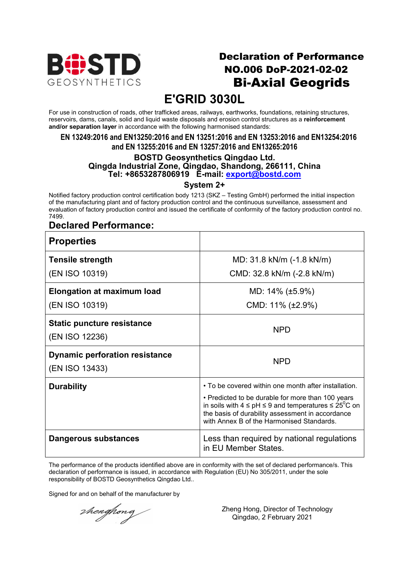

## Declaration of Performance NO.006 DoP-2021-02-02 Bi-Axial Geogrids

# **E'GRID 3030L**

For use in construction of roads, other trafficked areas, railways, earthworks, foundations, retaining structures, reservoirs, dams, canals, solid and liquid waste disposals and erosion control structures as a **reinforcement and/or separation layer** in accordance with the following harmonised standards:

**EN 13249:2016 and EN13250:2016 and EN 13251:2016 and EN 13253:2016 and EN13254:2016 and EN 13255:2016 and EN 13257:2016 and EN13265:2016**

#### **BOSTD Geosynthetics Qingdao Ltd. Qingda Industrial Zone, Qingdao, Shandong, 266111, China Tel: +8653287806919 E-mail: export@bostd.com**

**System 2+**

Notified factory production control certification body 1213 (SKZ – Testing GmbH) performed the initial inspection of the manufacturing plant and of factory production control and the continuous surveillance, assessment and evaluation of factory production control and issued the certificate of conformity of the factory production control no. 7499.

### **Declared Performance:**

| <b>Properties</b>                                       |                                                                                                                                                                                                                               |
|---------------------------------------------------------|-------------------------------------------------------------------------------------------------------------------------------------------------------------------------------------------------------------------------------|
| <b>Tensile strength</b>                                 | MD: 31.8 kN/m (-1.8 kN/m)                                                                                                                                                                                                     |
| (EN ISO 10319)                                          | CMD: 32.8 kN/m (-2.8 kN/m)                                                                                                                                                                                                    |
| <b>Elongation at maximum load</b>                       | MD: $14\%$ (±5.9%)                                                                                                                                                                                                            |
| (EN ISO 10319)                                          | CMD: $11\%$ ( $\pm 2.9\%$ )                                                                                                                                                                                                   |
| <b>Static puncture resistance</b><br>(EN ISO 12236)     | <b>NPD</b>                                                                                                                                                                                                                    |
| <b>Dynamic perforation resistance</b><br>(EN ISO 13433) | <b>NPD</b>                                                                                                                                                                                                                    |
| <b>Durability</b>                                       | • To be covered within one month after installation.                                                                                                                                                                          |
|                                                         | • Predicted to be durable for more than 100 years<br>in soils with $4 \leq pH \leq 9$ and temperatures $\leq 25^{\circ}C$ on<br>the basis of durability assessment in accordance<br>with Annex B of the Harmonised Standards. |
| Dangerous substances                                    | Less than required by national regulations<br>in EU Member States.                                                                                                                                                            |

The performance of the products identified above are in conformity with the set of declared performance/s. This declaration of performance is issued, in accordance with Regulation (EU) No 305/2011, under the sole responsibility of BOSTD Geosynthetics Qingdao Ltd..

Signed for and on behalf of the manufacturer by

thenghong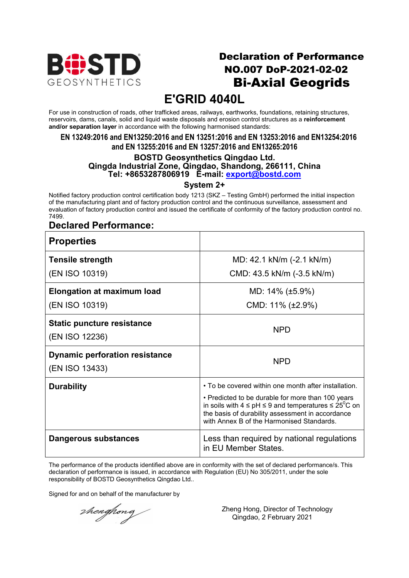

## Declaration of Performance NO.007 DoP-2021-02-02 Bi-Axial Geogrids

# **E'GRID 4040L**

For use in construction of roads, other trafficked areas, railways, earthworks, foundations, retaining structures, reservoirs, dams, canals, solid and liquid waste disposals and erosion control structures as a **reinforcement and/or separation layer** in accordance with the following harmonised standards:

**EN 13249:2016 and EN13250:2016 and EN 13251:2016 and EN 13253:2016 and EN13254:2016 and EN 13255:2016 and EN 13257:2016 and EN13265:2016**

### **BOSTD Geosynthetics Qingdao Ltd. Qingda Industrial Zone, Qingdao, Shandong, 266111, China Tel: +8653287806919 E-mail: export@bostd.com**

**System 2+**

Notified factory production control certification body 1213 (SKZ – Testing GmbH) performed the initial inspection of the manufacturing plant and of factory production control and the continuous surveillance, assessment and evaluation of factory production control and issued the certificate of conformity of the factory production control no. 7499.

### **Declared Performance:**

| <b>Properties</b>                                       |                                                                                                                                                                                                                               |
|---------------------------------------------------------|-------------------------------------------------------------------------------------------------------------------------------------------------------------------------------------------------------------------------------|
| <b>Tensile strength</b>                                 | MD: 42.1 kN/m (-2.1 kN/m)                                                                                                                                                                                                     |
| (EN ISO 10319)                                          | CMD: 43.5 kN/m (-3.5 kN/m)                                                                                                                                                                                                    |
| <b>Elongation at maximum load</b>                       | MD: $14\%$ (±5.9%)                                                                                                                                                                                                            |
| (EN ISO 10319)                                          | CMD: $11\%$ ( $\pm 2.9\%$ )                                                                                                                                                                                                   |
| <b>Static puncture resistance</b><br>(EN ISO 12236)     | <b>NPD</b>                                                                                                                                                                                                                    |
| <b>Dynamic perforation resistance</b><br>(EN ISO 13433) | <b>NPD</b>                                                                                                                                                                                                                    |
| <b>Durability</b>                                       | • To be covered within one month after installation.                                                                                                                                                                          |
|                                                         | • Predicted to be durable for more than 100 years<br>in soils with $4 \leq pH \leq 9$ and temperatures $\leq 25^{\circ}C$ on<br>the basis of durability assessment in accordance<br>with Annex B of the Harmonised Standards. |
| Dangerous substances                                    | Less than required by national regulations<br>in EU Member States.                                                                                                                                                            |

The performance of the products identified above are in conformity with the set of declared performance/s. This declaration of performance is issued, in accordance with Regulation (EU) No 305/2011, under the sole responsibility of BOSTD Geosynthetics Qingdao Ltd..

Signed for and on behalf of the manufacturer by

thenghong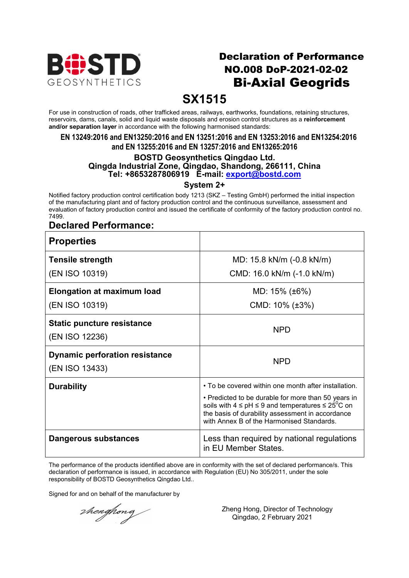

## Declaration of Performance NO.008 DoP-2021-02-02 Bi-Axial Geogrids

## **SX1515**

For use in construction of roads, other trafficked areas, railways, earthworks, foundations, retaining structures, reservoirs, dams, canals, solid and liquid waste disposals and erosion control structures as a **reinforcement and/or separation layer** in accordance with the following harmonised standards:

#### **EN 13249:2016 and EN13250:2016 and EN 13251:2016 and EN 13253:2016 and EN13254:2016 and EN 13255:2016 and EN 13257:2016 and EN13265:2016**

#### **BOSTD Geosynthetics Qingdao Ltd. Qingda Industrial Zone, Qingdao, Shandong, 266111, China Tel: +8653287806919 E-mail: export@bostd.com**

**System 2+**

Notified factory production control certification body 1213 (SKZ – Testing GmbH) performed the initial inspection of the manufacturing plant and of factory production control and the continuous surveillance, assessment and evaluation of factory production control and issued the certificate of conformity of the factory production control no. 7499.

### **Declared Performance:**

| <b>Properties</b>                     |                                                                                                                                                                                                                              |
|---------------------------------------|------------------------------------------------------------------------------------------------------------------------------------------------------------------------------------------------------------------------------|
| <b>Tensile strength</b>               | MD: 15.8 kN/m (-0.8 kN/m)                                                                                                                                                                                                    |
| (EN ISO 10319)                        | CMD: 16.0 kN/m (-1.0 kN/m)                                                                                                                                                                                                   |
| <b>Elongation at maximum load</b>     | MD: $15\%$ (±6%)                                                                                                                                                                                                             |
| (EN ISO 10319)                        | CMD: $10\%$ ( $\pm 3\%$ )                                                                                                                                                                                                    |
| <b>Static puncture resistance</b>     | <b>NPD</b>                                                                                                                                                                                                                   |
| (EN ISO 12236)                        |                                                                                                                                                                                                                              |
| <b>Dynamic perforation resistance</b> | <b>NPD</b>                                                                                                                                                                                                                   |
| (EN ISO 13433)                        |                                                                                                                                                                                                                              |
| <b>Durability</b>                     | • To be covered within one month after installation.                                                                                                                                                                         |
|                                       | • Predicted to be durable for more than 50 years in<br>soils with $4 \leq pH \leq 9$ and temperatures $\leq 25^{\circ}C$ on<br>the basis of durability assessment in accordance<br>with Annex B of the Harmonised Standards. |
| Dangerous substances                  | Less than required by national regulations<br>in EU Member States.                                                                                                                                                           |

The performance of the products identified above are in conformity with the set of declared performance/s. This declaration of performance is issued, in accordance with Regulation (EU) No 305/2011, under the sole responsibility of BOSTD Geosynthetics Qingdao Ltd..

Signed for and on behalf of the manufacturer by

thenghong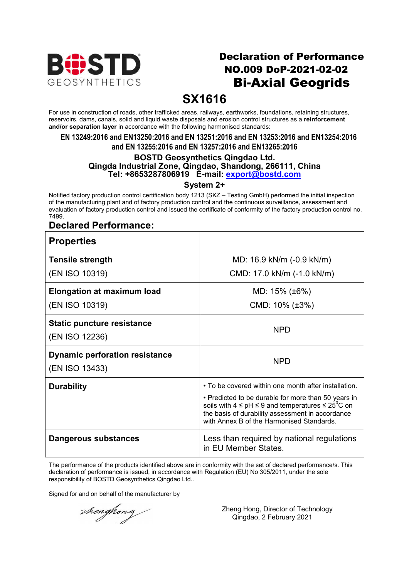

## Declaration of Performance NO.009 DoP-2021-02-02 Bi-Axial Geogrids

## **SX1616**

For use in construction of roads, other trafficked areas, railways, earthworks, foundations, retaining structures, reservoirs, dams, canals, solid and liquid waste disposals and erosion control structures as a **reinforcement and/or separation layer** in accordance with the following harmonised standards:

#### **EN 13249:2016 and EN13250:2016 and EN 13251:2016 and EN 13253:2016 and EN13254:2016 and EN 13255:2016 and EN 13257:2016 and EN13265:2016**

### **BOSTD Geosynthetics Qingdao Ltd. Qingda Industrial Zone, Qingdao, Shandong, 266111, China Tel: +8653287806919 E-mail: export@bostd.com**

**System 2+**

Notified factory production control certification body 1213 (SKZ – Testing GmbH) performed the initial inspection of the manufacturing plant and of factory production control and the continuous surveillance, assessment and evaluation of factory production control and issued the certificate of conformity of the factory production control no. 7499.

### **Declared Performance:**

| <b>Properties</b>                                       |                                                                                                                                                                                                                                         |
|---------------------------------------------------------|-----------------------------------------------------------------------------------------------------------------------------------------------------------------------------------------------------------------------------------------|
| <b>Tensile strength</b>                                 | MD: 16.9 kN/m (-0.9 kN/m)                                                                                                                                                                                                               |
| (EN ISO 10319)                                          | CMD: 17.0 kN/m (-1.0 kN/m)                                                                                                                                                                                                              |
| <b>Elongation at maximum load</b>                       | MD: $15\%$ ( $\pm 6\%$ )                                                                                                                                                                                                                |
| (EN ISO 10319)                                          | CMD: $10\%$ ( $\pm 3\%$ )                                                                                                                                                                                                               |
| <b>Static puncture resistance</b><br>(EN ISO 12236)     | <b>NPD</b>                                                                                                                                                                                                                              |
| <b>Dynamic perforation resistance</b><br>(EN ISO 13433) | <b>NPD</b>                                                                                                                                                                                                                              |
| <b>Durability</b>                                       | • To be covered within one month after installation.<br>• Predicted to be durable for more than 50 years in<br>soils with $4 \leq pH \leq 9$ and temperatures $\leq 25^{\circ}C$ on<br>the basis of durability assessment in accordance |
| Dangerous substances                                    | with Annex B of the Harmonised Standards.<br>Less than required by national regulations<br>in EU Member States.                                                                                                                         |

The performance of the products identified above are in conformity with the set of declared performance/s. This declaration of performance is issued, in accordance with Regulation (EU) No 305/2011, under the sole responsibility of BOSTD Geosynthetics Qingdao Ltd..

Signed for and on behalf of the manufacturer by

thenghong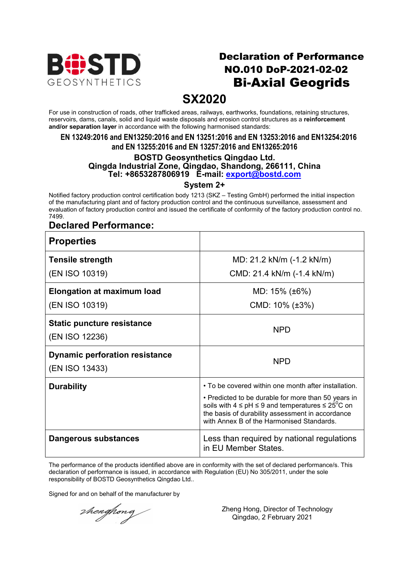

## Declaration of Performance NO.010 DoP-2021-02-02 Bi-Axial Geogrids

## **SX2020**

For use in construction of roads, other trafficked areas, railways, earthworks, foundations, retaining structures, reservoirs, dams, canals, solid and liquid waste disposals and erosion control structures as a **reinforcement and/or separation layer** in accordance with the following harmonised standards:

#### **EN 13249:2016 and EN13250:2016 and EN 13251:2016 and EN 13253:2016 and EN13254:2016 and EN 13255:2016 and EN 13257:2016 and EN13265:2016**

#### **BOSTD Geosynthetics Qingdao Ltd. Qingda Industrial Zone, Qingdao, Shandong, 266111, China Tel: +8653287806919 E-mail: export@bostd.com**

**System 2+**

Notified factory production control certification body 1213 (SKZ – Testing GmbH) performed the initial inspection of the manufacturing plant and of factory production control and the continuous surveillance, assessment and evaluation of factory production control and issued the certificate of conformity of the factory production control no. 7499.

### **Declared Performance:**

| <b>Properties</b>                                       |                                                                                                                                                                                                                                                                                      |
|---------------------------------------------------------|--------------------------------------------------------------------------------------------------------------------------------------------------------------------------------------------------------------------------------------------------------------------------------------|
| <b>Tensile strength</b>                                 | MD: 21.2 kN/m (-1.2 kN/m)                                                                                                                                                                                                                                                            |
| (EN ISO 10319)                                          | CMD: 21.4 kN/m (-1.4 kN/m)                                                                                                                                                                                                                                                           |
| <b>Elongation at maximum load</b>                       | MD: $15\%$ ( $\pm 6\%$ )                                                                                                                                                                                                                                                             |
| (EN ISO 10319)                                          | CMD: $10\%$ ( $\pm 3\%$ )                                                                                                                                                                                                                                                            |
| <b>Static puncture resistance</b><br>(EN ISO 12236)     | <b>NPD</b>                                                                                                                                                                                                                                                                           |
| <b>Dynamic perforation resistance</b><br>(EN ISO 13433) | <b>NPD</b>                                                                                                                                                                                                                                                                           |
| <b>Durability</b>                                       | • To be covered within one month after installation.<br>• Predicted to be durable for more than 50 years in<br>soils with $4 \leq pH \leq 9$ and temperatures $\leq 25^{\circ}C$ on<br>the basis of durability assessment in accordance<br>with Annex B of the Harmonised Standards. |
| Dangerous substances                                    | Less than required by national regulations<br>in EU Member States.                                                                                                                                                                                                                   |

The performance of the products identified above are in conformity with the set of declared performance/s. This declaration of performance is issued, in accordance with Regulation (EU) No 305/2011, under the sole responsibility of BOSTD Geosynthetics Qingdao Ltd..

Signed for and on behalf of the manufacturer by

thenghong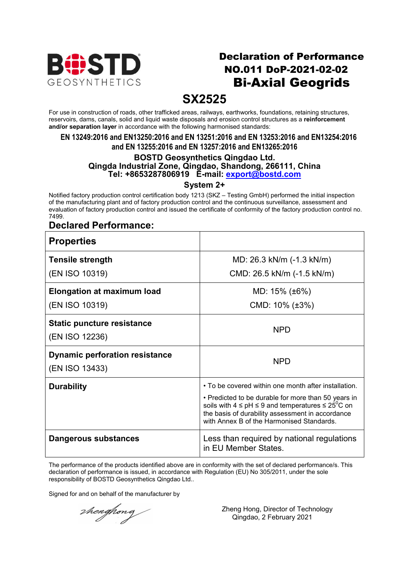

## Declaration of Performance NO.011 DoP-2021-02-02 Bi-Axial Geogrids

## **SX2525**

For use in construction of roads, other trafficked areas, railways, earthworks, foundations, retaining structures, reservoirs, dams, canals, solid and liquid waste disposals and erosion control structures as a **reinforcement and/or separation layer** in accordance with the following harmonised standards:

#### **EN 13249:2016 and EN13250:2016 and EN 13251:2016 and EN 13253:2016 and EN13254:2016 and EN 13255:2016 and EN 13257:2016 and EN13265:2016**

#### **BOSTD Geosynthetics Qingdao Ltd. Qingda Industrial Zone, Qingdao, Shandong, 266111, China Tel: +8653287806919 E-mail: export@bostd.com**

**System 2+**

Notified factory production control certification body 1213 (SKZ – Testing GmbH) performed the initial inspection of the manufacturing plant and of factory production control and the continuous surveillance, assessment and evaluation of factory production control and issued the certificate of conformity of the factory production control no. 7499.

### **Declared Performance:**

| <b>Properties</b>                                       |                                                                                                                                                                                                                                                                                      |
|---------------------------------------------------------|--------------------------------------------------------------------------------------------------------------------------------------------------------------------------------------------------------------------------------------------------------------------------------------|
| <b>Tensile strength</b>                                 | MD: 26.3 kN/m (-1.3 kN/m)                                                                                                                                                                                                                                                            |
| (EN ISO 10319)                                          | CMD: 26.5 kN/m (-1.5 kN/m)                                                                                                                                                                                                                                                           |
| <b>Elongation at maximum load</b>                       | MD: $15\%$ ( $\pm 6\%$ )                                                                                                                                                                                                                                                             |
| (EN ISO 10319)                                          | CMD: $10\%$ ( $\pm 3\%$ )                                                                                                                                                                                                                                                            |
| <b>Static puncture resistance</b><br>(EN ISO 12236)     | <b>NPD</b>                                                                                                                                                                                                                                                                           |
| <b>Dynamic perforation resistance</b><br>(EN ISO 13433) | <b>NPD</b>                                                                                                                                                                                                                                                                           |
| <b>Durability</b>                                       | • To be covered within one month after installation.<br>• Predicted to be durable for more than 50 years in<br>soils with $4 \leq pH \leq 9$ and temperatures $\leq 25^{\circ}C$ on<br>the basis of durability assessment in accordance<br>with Annex B of the Harmonised Standards. |
| Dangerous substances                                    | Less than required by national regulations<br>in EU Member States.                                                                                                                                                                                                                   |

The performance of the products identified above are in conformity with the set of declared performance/s. This declaration of performance is issued, in accordance with Regulation (EU) No 305/2011, under the sole responsibility of BOSTD Geosynthetics Qingdao Ltd..

Signed for and on behalf of the manufacturer by

thenghong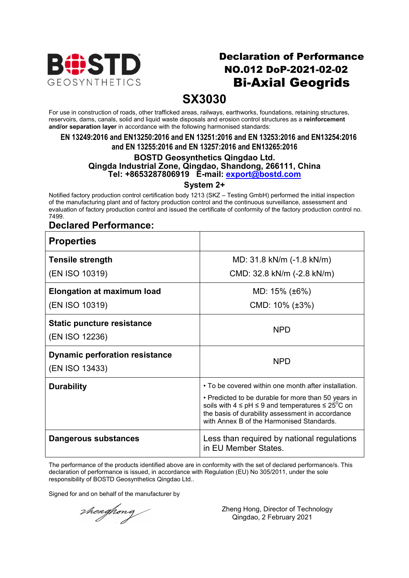

## Declaration of Performance NO.012 DoP-2021-02-02 Bi-Axial Geogrids

## **SX3030**

For use in construction of roads, other trafficked areas, railways, earthworks, foundations, retaining structures, reservoirs, dams, canals, solid and liquid waste disposals and erosion control structures as a **reinforcement and/or separation layer** in accordance with the following harmonised standards:

#### **EN 13249:2016 and EN13250:2016 and EN 13251:2016 and EN 13253:2016 and EN13254:2016 and EN 13255:2016 and EN 13257:2016 and EN13265:2016**

#### **BOSTD Geosynthetics Qingdao Ltd. Qingda Industrial Zone, Qingdao, Shandong, 266111, China Tel: +8653287806919 E-mail: export@bostd.com**

**System 2+**

Notified factory production control certification body 1213 (SKZ – Testing GmbH) performed the initial inspection of the manufacturing plant and of factory production control and the continuous surveillance, assessment and evaluation of factory production control and issued the certificate of conformity of the factory production control no. 7499.

### **Declared Performance:**

| <b>Properties</b>                                       |                                                                                                                                                                                                                              |
|---------------------------------------------------------|------------------------------------------------------------------------------------------------------------------------------------------------------------------------------------------------------------------------------|
| <b>Tensile strength</b>                                 | MD: 31.8 kN/m (-1.8 kN/m)                                                                                                                                                                                                    |
| (EN ISO 10319)                                          | CMD: 32.8 kN/m (-2.8 kN/m)                                                                                                                                                                                                   |
| <b>Elongation at maximum load</b>                       | MD: 15% (±6%)                                                                                                                                                                                                                |
| (EN ISO 10319)                                          | CMD: $10\%$ ( $\pm 3\%$ )                                                                                                                                                                                                    |
| <b>Static puncture resistance</b><br>(EN ISO 12236)     | <b>NPD</b>                                                                                                                                                                                                                   |
| <b>Dynamic perforation resistance</b><br>(EN ISO 13433) | <b>NPD</b>                                                                                                                                                                                                                   |
| <b>Durability</b>                                       | • To be covered within one month after installation.                                                                                                                                                                         |
|                                                         | • Predicted to be durable for more than 50 years in<br>soils with $4 \leq pH \leq 9$ and temperatures $\leq 25^{\circ}C$ on<br>the basis of durability assessment in accordance<br>with Annex B of the Harmonised Standards. |
| Dangerous substances                                    | Less than required by national regulations<br>in EU Member States.                                                                                                                                                           |

The performance of the products identified above are in conformity with the set of declared performance/s. This declaration of performance is issued, in accordance with Regulation (EU) No 305/2011, under the sole responsibility of BOSTD Geosynthetics Qingdao Ltd..

Signed for and on behalf of the manufacturer by

thenghong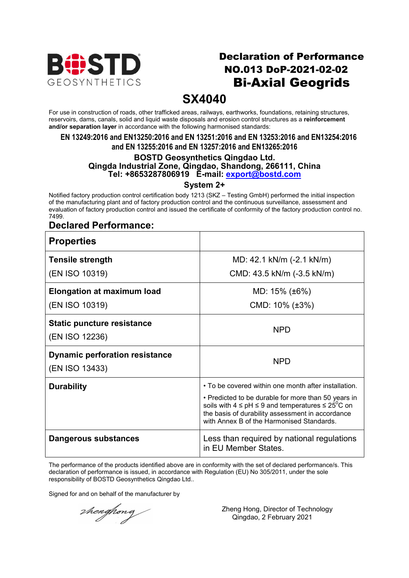

## Declaration of Performance NO.013 DoP-2021-02-02 Bi-Axial Geogrids

## **SX4040**

For use in construction of roads, other trafficked areas, railways, earthworks, foundations, retaining structures, reservoirs, dams, canals, solid and liquid waste disposals and erosion control structures as a **reinforcement and/or separation layer** in accordance with the following harmonised standards:

#### **EN 13249:2016 and EN13250:2016 and EN 13251:2016 and EN 13253:2016 and EN13254:2016 and EN 13255:2016 and EN 13257:2016 and EN13265:2016**

#### **BOSTD Geosynthetics Qingdao Ltd. Qingda Industrial Zone, Qingdao, Shandong, 266111, China Tel: +8653287806919 E-mail: export@bostd.com**

**System 2+**

Notified factory production control certification body 1213 (SKZ – Testing GmbH) performed the initial inspection of the manufacturing plant and of factory production control and the continuous surveillance, assessment and evaluation of factory production control and issued the certificate of conformity of the factory production control no. 7499.

### **Declared Performance:**

| <b>Properties</b>                                       |                                                                                                                                                                                                                              |
|---------------------------------------------------------|------------------------------------------------------------------------------------------------------------------------------------------------------------------------------------------------------------------------------|
| <b>Tensile strength</b>                                 | MD: 42.1 kN/m (-2.1 kN/m)                                                                                                                                                                                                    |
| (EN ISO 10319)                                          | CMD: 43.5 kN/m (-3.5 kN/m)                                                                                                                                                                                                   |
| <b>Elongation at maximum load</b>                       | MD: $15\%$ ( $\pm 6\%$ )                                                                                                                                                                                                     |
| (EN ISO 10319)                                          | CMD: $10\%$ ( $\pm 3\%$ )                                                                                                                                                                                                    |
| <b>Static puncture resistance</b>                       | <b>NPD</b>                                                                                                                                                                                                                   |
| (EN ISO 12236)                                          |                                                                                                                                                                                                                              |
| <b>Dynamic perforation resistance</b><br>(EN ISO 13433) | <b>NPD</b>                                                                                                                                                                                                                   |
|                                                         |                                                                                                                                                                                                                              |
| <b>Durability</b>                                       | • To be covered within one month after installation.                                                                                                                                                                         |
|                                                         | • Predicted to be durable for more than 50 years in<br>soils with $4 \leq pH \leq 9$ and temperatures $\leq 25^{\circ}C$ on<br>the basis of durability assessment in accordance<br>with Annex B of the Harmonised Standards. |
| Dangerous substances                                    | Less than required by national regulations<br>in EU Member States.                                                                                                                                                           |

The performance of the products identified above are in conformity with the set of declared performance/s. This declaration of performance is issued, in accordance with Regulation (EU) No 305/2011, under the sole responsibility of BOSTD Geosynthetics Qingdao Ltd..

Signed for and on behalf of the manufacturer by

thenghong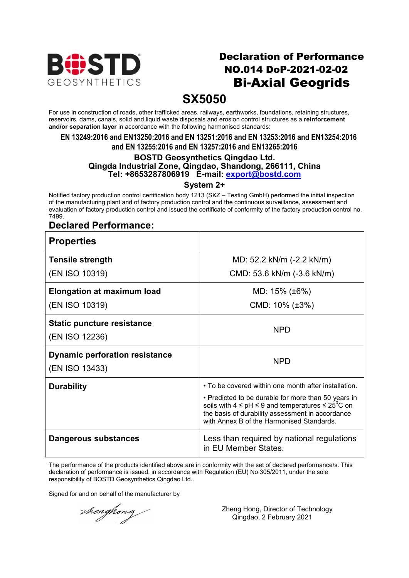

## Declaration of Performance NO.014 DoP-2021-02-02 Bi-Axial Geogrids

## **SX5050**

For use in construction of roads, other trafficked areas, railways, earthworks, foundations, retaining structures, reservoirs, dams, canals, solid and liquid waste disposals and erosion control structures as a **reinforcement and/or separation layer** in accordance with the following harmonised standards:

#### **EN 13249:2016 and EN13250:2016 and EN 13251:2016 and EN 13253:2016 and EN13254:2016 and EN 13255:2016 and EN 13257:2016 and EN13265:2016**

#### **BOSTD Geosynthetics Qingdao Ltd. Qingda Industrial Zone, Qingdao, Shandong, 266111, China Tel: +8653287806919 E-mail: export@bostd.com**

**System 2+**

Notified factory production control certification body 1213 (SKZ – Testing GmbH) performed the initial inspection of the manufacturing plant and of factory production control and the continuous surveillance, assessment and evaluation of factory production control and issued the certificate of conformity of the factory production control no. 7499.

### **Declared Performance:**

| <b>Properties</b>                                       |                                                                                                                                                                                                                              |
|---------------------------------------------------------|------------------------------------------------------------------------------------------------------------------------------------------------------------------------------------------------------------------------------|
| <b>Tensile strength</b>                                 | MD: 52.2 kN/m (-2.2 kN/m)                                                                                                                                                                                                    |
| (EN ISO 10319)                                          | CMD: 53.6 kN/m (-3.6 kN/m)                                                                                                                                                                                                   |
| <b>Elongation at maximum load</b>                       | MD: $15\%$ ( $\pm 6\%$ )                                                                                                                                                                                                     |
| (EN ISO 10319)                                          | CMD: $10\%$ ( $\pm 3\%$ )                                                                                                                                                                                                    |
| <b>Static puncture resistance</b><br>(EN ISO 12236)     | <b>NPD</b>                                                                                                                                                                                                                   |
| <b>Dynamic perforation resistance</b><br>(EN ISO 13433) | <b>NPD</b>                                                                                                                                                                                                                   |
| <b>Durability</b>                                       | • To be covered within one month after installation.                                                                                                                                                                         |
|                                                         | • Predicted to be durable for more than 50 years in<br>soils with $4 \leq pH \leq 9$ and temperatures $\leq 25^{\circ}C$ on<br>the basis of durability assessment in accordance<br>with Annex B of the Harmonised Standards. |
| Dangerous substances                                    | Less than required by national regulations<br>in EU Member States.                                                                                                                                                           |

The performance of the products identified above are in conformity with the set of declared performance/s. This declaration of performance is issued, in accordance with Regulation (EU) No 305/2011, under the sole responsibility of BOSTD Geosynthetics Qingdao Ltd..

Signed for and on behalf of the manufacturer by

thenghong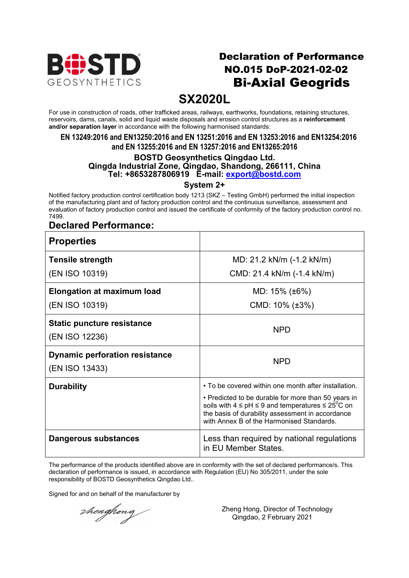

## Declaration of Performance NO.015 DoP-2021-02-02 Bi-Axial Geogrids

## **SX2020L**

For use in construction of roads, other trafficked areas, railways, earthworks, foundations, retaining structures, reservoirs, dams, canals, solid and liquid waste disposals and erosion control structures as a **reinforcement and/or separation layer** in accordance with the following harmonised standards:

#### **EN 13249:2016 and EN13250:2016 and EN 13251:2016 and EN 13253:2016 and EN13254:2016 and EN 13255:2016 and EN 13257:2016 and EN13265:2016**

#### **BOSTD Geosynthetics Qingdao Ltd. Qingda Industrial Zone, Qingdao, Shandong, 266111, China Tel: +8653287806919 E-mail: export@bostd.com**

**System 2+**

Notified factory production control certification body 1213 (SKZ – Testing GmbH) performed the initial inspection of the manufacturing plant and of factory production control and the continuous surveillance, assessment and evaluation of factory production control and issued the certificate of conformity of the factory production control no. 7499.

### **Declared Performance:**

| <b>Properties</b>                                       |                                                                                                                                                                                                                                                                                      |
|---------------------------------------------------------|--------------------------------------------------------------------------------------------------------------------------------------------------------------------------------------------------------------------------------------------------------------------------------------|
| <b>Tensile strength</b>                                 | MD: 21.2 kN/m (-1.2 kN/m)                                                                                                                                                                                                                                                            |
| (EN ISO 10319)                                          | CMD: 21.4 kN/m (-1.4 kN/m)                                                                                                                                                                                                                                                           |
| <b>Elongation at maximum load</b>                       | MD: 15% (±6%)                                                                                                                                                                                                                                                                        |
| (EN ISO 10319)                                          | CMD: $10\%$ ( $\pm 3\%$ )                                                                                                                                                                                                                                                            |
| <b>Static puncture resistance</b><br>(EN ISO 12236)     | <b>NPD</b>                                                                                                                                                                                                                                                                           |
| <b>Dynamic perforation resistance</b><br>(EN ISO 13433) | <b>NPD</b>                                                                                                                                                                                                                                                                           |
| <b>Durability</b>                                       | • To be covered within one month after installation.<br>• Predicted to be durable for more than 50 years in<br>soils with $4 \leq pH \leq 9$ and temperatures $\leq 25^{\circ}C$ on<br>the basis of durability assessment in accordance<br>with Annex B of the Harmonised Standards. |
| Dangerous substances                                    | Less than required by national regulations<br>in EU Member States.                                                                                                                                                                                                                   |

The performance of the products identified above are in conformity with the set of declared performance/s. This declaration of performance is issued, in accordance with Regulation (EU) No 305/2011, under the sole responsibility of BOSTD Geosynthetics Qingdao Ltd..

Signed for and on behalf of the manufacturer by

thenghong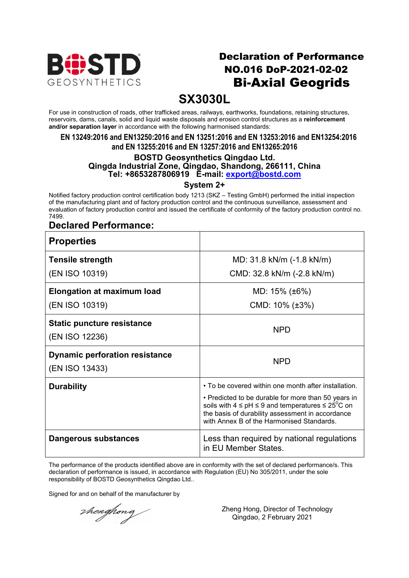

## Declaration of Performance NO.016 DoP-2021-02-02 Bi-Axial Geogrids

## **SX3030L**

For use in construction of roads, other trafficked areas, railways, earthworks, foundations, retaining structures, reservoirs, dams, canals, solid and liquid waste disposals and erosion control structures as a **reinforcement and/or separation layer** in accordance with the following harmonised standards:

#### **EN 13249:2016 and EN13250:2016 and EN 13251:2016 and EN 13253:2016 and EN13254:2016 and EN 13255:2016 and EN 13257:2016 and EN13265:2016**

#### **BOSTD Geosynthetics Qingdao Ltd. Qingda Industrial Zone, Qingdao, Shandong, 266111, China Tel: +8653287806919 E-mail: export@bostd.com**

**System 2+**

Notified factory production control certification body 1213 (SKZ – Testing GmbH) performed the initial inspection of the manufacturing plant and of factory production control and the continuous surveillance, assessment and evaluation of factory production control and issued the certificate of conformity of the factory production control no. 7499.

### **Declared Performance:**

| <b>Properties</b>                                       |                                                                                                                                                                                                                                         |
|---------------------------------------------------------|-----------------------------------------------------------------------------------------------------------------------------------------------------------------------------------------------------------------------------------------|
| <b>Tensile strength</b>                                 | MD: 31.8 kN/m (-1.8 kN/m)                                                                                                                                                                                                               |
| (EN ISO 10319)                                          | CMD: 32.8 kN/m (-2.8 kN/m)                                                                                                                                                                                                              |
| <b>Elongation at maximum load</b>                       | MD: $15\%$ ( $\pm 6\%$ )                                                                                                                                                                                                                |
| (EN ISO 10319)                                          | CMD: $10\%$ ( $\pm 3\%$ )                                                                                                                                                                                                               |
| <b>Static puncture resistance</b><br>(EN ISO 12236)     | <b>NPD</b>                                                                                                                                                                                                                              |
| <b>Dynamic perforation resistance</b><br>(EN ISO 13433) | <b>NPD</b>                                                                                                                                                                                                                              |
| <b>Durability</b>                                       | • To be covered within one month after installation.<br>• Predicted to be durable for more than 50 years in<br>soils with $4 \leq pH \leq 9$ and temperatures $\leq 25^{\circ}C$ on<br>the basis of durability assessment in accordance |
|                                                         | with Annex B of the Harmonised Standards.                                                                                                                                                                                               |
| Dangerous substances                                    | Less than required by national regulations<br>in EU Member States.                                                                                                                                                                      |

The performance of the products identified above are in conformity with the set of declared performance/s. This declaration of performance is issued, in accordance with Regulation (EU) No 305/2011, under the sole responsibility of BOSTD Geosynthetics Qingdao Ltd..

Signed for and on behalf of the manufacturer by

thenghong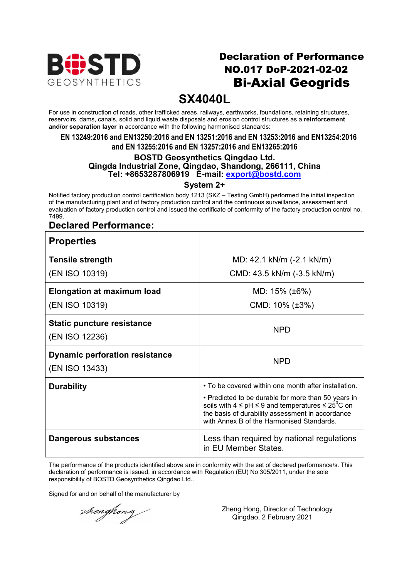

## Declaration of Performance NO.017 DoP-2021-02-02 Bi-Axial Geogrids

## **SX4040L**

For use in construction of roads, other trafficked areas, railways, earthworks, foundations, retaining structures, reservoirs, dams, canals, solid and liquid waste disposals and erosion control structures as a **reinforcement and/or separation layer** in accordance with the following harmonised standards:

#### **EN 13249:2016 and EN13250:2016 and EN 13251:2016 and EN 13253:2016 and EN13254:2016 and EN 13255:2016 and EN 13257:2016 and EN13265:2016**

#### **BOSTD Geosynthetics Qingdao Ltd. Qingda Industrial Zone, Qingdao, Shandong, 266111, China Tel: +8653287806919 E-mail: export@bostd.com**

**System 2+**

Notified factory production control certification body 1213 (SKZ – Testing GmbH) performed the initial inspection of the manufacturing plant and of factory production control and the continuous surveillance, assessment and evaluation of factory production control and issued the certificate of conformity of the factory production control no. 7499.

### **Declared Performance:**

| <b>Properties</b>                                       |                                                                                                                                                                                                                              |
|---------------------------------------------------------|------------------------------------------------------------------------------------------------------------------------------------------------------------------------------------------------------------------------------|
| <b>Tensile strength</b>                                 | MD: 42.1 kN/m (-2.1 kN/m)                                                                                                                                                                                                    |
| (EN ISO 10319)                                          | CMD: 43.5 kN/m (-3.5 kN/m)                                                                                                                                                                                                   |
| <b>Elongation at maximum load</b>                       | MD: $15\%$ ( $\pm 6\%$ )                                                                                                                                                                                                     |
| (EN ISO 10319)                                          | CMD: $10\%$ ( $\pm 3\%$ )                                                                                                                                                                                                    |
| <b>Static puncture resistance</b><br>(EN ISO 12236)     | <b>NPD</b>                                                                                                                                                                                                                   |
| <b>Dynamic perforation resistance</b><br>(EN ISO 13433) | <b>NPD</b>                                                                                                                                                                                                                   |
| <b>Durability</b>                                       | • To be covered within one month after installation.                                                                                                                                                                         |
|                                                         | • Predicted to be durable for more than 50 years in<br>soils with $4 \leq pH \leq 9$ and temperatures $\leq 25^{\circ}C$ on<br>the basis of durability assessment in accordance<br>with Annex B of the Harmonised Standards. |
| Dangerous substances                                    | Less than required by national regulations<br>in EU Member States.                                                                                                                                                           |

The performance of the products identified above are in conformity with the set of declared performance/s. This declaration of performance is issued, in accordance with Regulation (EU) No 305/2011, under the sole responsibility of BOSTD Geosynthetics Qingdao Ltd..

Signed for and on behalf of the manufacturer by

thenghong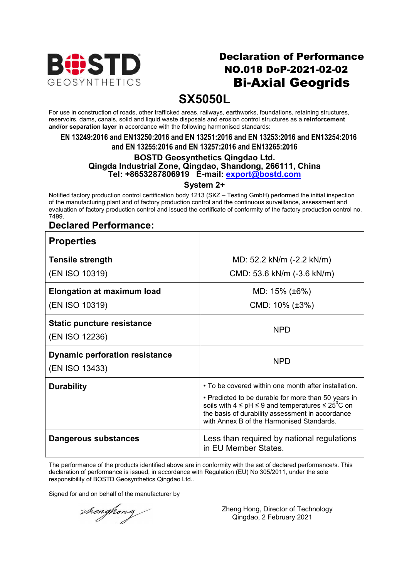

## Declaration of Performance NO.018 DoP-2021-02-02 Bi-Axial Geogrids

## **SX5050L**

For use in construction of roads, other trafficked areas, railways, earthworks, foundations, retaining structures, reservoirs, dams, canals, solid and liquid waste disposals and erosion control structures as a **reinforcement and/or separation layer** in accordance with the following harmonised standards:

#### **EN 13249:2016 and EN13250:2016 and EN 13251:2016 and EN 13253:2016 and EN13254:2016 and EN 13255:2016 and EN 13257:2016 and EN13265:2016**

### **BOSTD Geosynthetics Qingdao Ltd. Qingda Industrial Zone, Qingdao, Shandong, 266111, China Tel: +8653287806919 E-mail: export@bostd.com**

**System 2+**

Notified factory production control certification body 1213 (SKZ – Testing GmbH) performed the initial inspection of the manufacturing plant and of factory production control and the continuous surveillance, assessment and evaluation of factory production control and issued the certificate of conformity of the factory production control no. 7499.

### **Declared Performance:**

| <b>Properties</b>                                       |                                                                                                                                                                                                                              |
|---------------------------------------------------------|------------------------------------------------------------------------------------------------------------------------------------------------------------------------------------------------------------------------------|
| <b>Tensile strength</b>                                 | MD: 52.2 kN/m (-2.2 kN/m)                                                                                                                                                                                                    |
| (EN ISO 10319)                                          | CMD: 53.6 kN/m (-3.6 kN/m)                                                                                                                                                                                                   |
| <b>Elongation at maximum load</b>                       | MD: $15\%$ ( $\pm 6\%$ )                                                                                                                                                                                                     |
| (EN ISO 10319)                                          | CMD: $10\%$ ( $\pm 3\%$ )                                                                                                                                                                                                    |
| <b>Static puncture resistance</b><br>(EN ISO 12236)     | <b>NPD</b>                                                                                                                                                                                                                   |
| <b>Dynamic perforation resistance</b><br>(EN ISO 13433) | <b>NPD</b>                                                                                                                                                                                                                   |
| <b>Durability</b>                                       | • To be covered within one month after installation.                                                                                                                                                                         |
|                                                         | • Predicted to be durable for more than 50 years in<br>soils with $4 \leq pH \leq 9$ and temperatures $\leq 25^{\circ}C$ on<br>the basis of durability assessment in accordance<br>with Annex B of the Harmonised Standards. |
| Dangerous substances                                    | Less than required by national regulations<br>in EU Member States.                                                                                                                                                           |

The performance of the products identified above are in conformity with the set of declared performance/s. This declaration of performance is issued, in accordance with Regulation (EU) No 305/2011, under the sole responsibility of BOSTD Geosynthetics Qingdao Ltd..

Signed for and on behalf of the manufacturer by

thenghong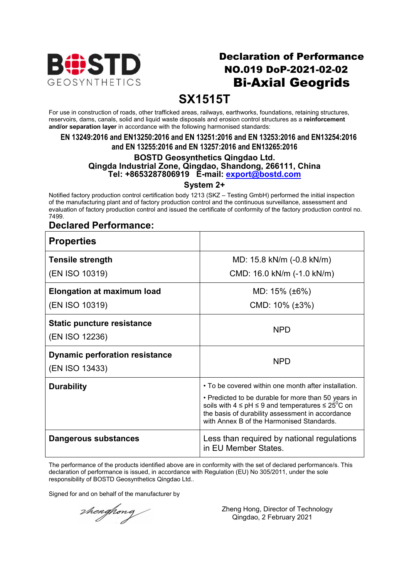

## Declaration of Performance NO.019 DoP-2021-02-02 Bi-Axial Geogrids

## **SX1515T**

For use in construction of roads, other trafficked areas, railways, earthworks, foundations, retaining structures, reservoirs, dams, canals, solid and liquid waste disposals and erosion control structures as a **reinforcement and/or separation layer** in accordance with the following harmonised standards:

#### **EN 13249:2016 and EN13250:2016 and EN 13251:2016 and EN 13253:2016 and EN13254:2016 and EN 13255:2016 and EN 13257:2016 and EN13265:2016**

#### **BOSTD Geosynthetics Qingdao Ltd. Qingda Industrial Zone, Qingdao, Shandong, 266111, China Tel: +8653287806919 E-mail: export@bostd.com**

**System 2+**

Notified factory production control certification body 1213 (SKZ – Testing GmbH) performed the initial inspection of the manufacturing plant and of factory production control and the continuous surveillance, assessment and evaluation of factory production control and issued the certificate of conformity of the factory production control no. 7499.

### **Declared Performance:**

| <b>Properties</b>                                       |                                                                                                                                                                                                                              |
|---------------------------------------------------------|------------------------------------------------------------------------------------------------------------------------------------------------------------------------------------------------------------------------------|
| <b>Tensile strength</b>                                 | MD: 15.8 kN/m (-0.8 kN/m)                                                                                                                                                                                                    |
| (EN ISO 10319)                                          | CMD: 16.0 kN/m (-1.0 kN/m)                                                                                                                                                                                                   |
| <b>Elongation at maximum load</b>                       | MD: 15% (±6%)                                                                                                                                                                                                                |
| (EN ISO 10319)                                          | CMD: $10\%$ ( $\pm 3\%$ )                                                                                                                                                                                                    |
| <b>Static puncture resistance</b><br>(EN ISO 12236)     | <b>NPD</b>                                                                                                                                                                                                                   |
| <b>Dynamic perforation resistance</b><br>(EN ISO 13433) | <b>NPD</b>                                                                                                                                                                                                                   |
| <b>Durability</b>                                       | • To be covered within one month after installation.                                                                                                                                                                         |
|                                                         | • Predicted to be durable for more than 50 years in<br>soils with $4 \leq pH \leq 9$ and temperatures $\leq 25^{\circ}C$ on<br>the basis of durability assessment in accordance<br>with Annex B of the Harmonised Standards. |
| Dangerous substances                                    | Less than required by national regulations<br>in EU Member States.                                                                                                                                                           |

The performance of the products identified above are in conformity with the set of declared performance/s. This declaration of performance is issued, in accordance with Regulation (EU) No 305/2011, under the sole responsibility of BOSTD Geosynthetics Qingdao Ltd..

Signed for and on behalf of the manufacturer by

thenghong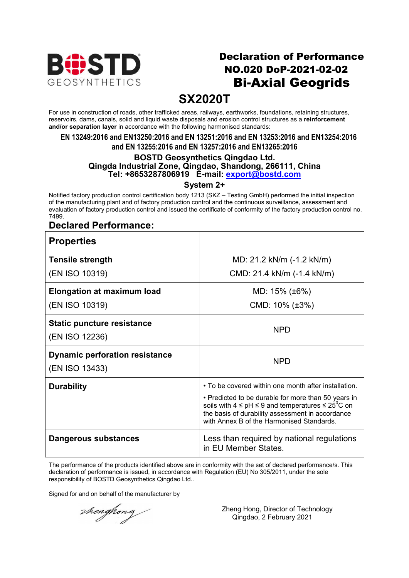

## Declaration of Performance NO.020 DoP-2021-02-02 Bi-Axial Geogrids

## **SX2020T**

For use in construction of roads, other trafficked areas, railways, earthworks, foundations, retaining structures, reservoirs, dams, canals, solid and liquid waste disposals and erosion control structures as a **reinforcement and/or separation layer** in accordance with the following harmonised standards:

#### **EN 13249:2016 and EN13250:2016 and EN 13251:2016 and EN 13253:2016 and EN13254:2016 and EN 13255:2016 and EN 13257:2016 and EN13265:2016**

#### **BOSTD Geosynthetics Qingdao Ltd. Qingda Industrial Zone, Qingdao, Shandong, 266111, China Tel: +8653287806919 E-mail: export@bostd.com**

**System 2+**

Notified factory production control certification body 1213 (SKZ – Testing GmbH) performed the initial inspection of the manufacturing plant and of factory production control and the continuous surveillance, assessment and evaluation of factory production control and issued the certificate of conformity of the factory production control no. 7499.

### **Declared Performance:**

| <b>Properties</b>                                       |                                                                                                                                                                                     |
|---------------------------------------------------------|-------------------------------------------------------------------------------------------------------------------------------------------------------------------------------------|
| <b>Tensile strength</b>                                 | MD: 21.2 kN/m (-1.2 kN/m)                                                                                                                                                           |
| (EN ISO 10319)                                          | CMD: 21.4 kN/m (-1.4 kN/m)                                                                                                                                                          |
| <b>Elongation at maximum load</b>                       | MD: $15\%$ ( $\pm 6\%$ )                                                                                                                                                            |
| (EN ISO 10319)                                          | CMD: $10\%$ ( $\pm 3\%$ )                                                                                                                                                           |
| <b>Static puncture resistance</b><br>(EN ISO 12236)     | <b>NPD</b>                                                                                                                                                                          |
| <b>Dynamic perforation resistance</b><br>(EN ISO 13433) | <b>NPD</b>                                                                                                                                                                          |
| <b>Durability</b>                                       | • To be covered within one month after installation.<br>• Predicted to be durable for more than 50 years in<br>soils with $4 \leq pH \leq 9$ and temperatures $\leq 25^{\circ}C$ on |
|                                                         | the basis of durability assessment in accordance<br>with Annex B of the Harmonised Standards.                                                                                       |
| Dangerous substances                                    | Less than required by national regulations<br>in EU Member States.                                                                                                                  |

The performance of the products identified above are in conformity with the set of declared performance/s. This declaration of performance is issued, in accordance with Regulation (EU) No 305/2011, under the sole responsibility of BOSTD Geosynthetics Qingdao Ltd..

Signed for and on behalf of the manufacturer by

thenghong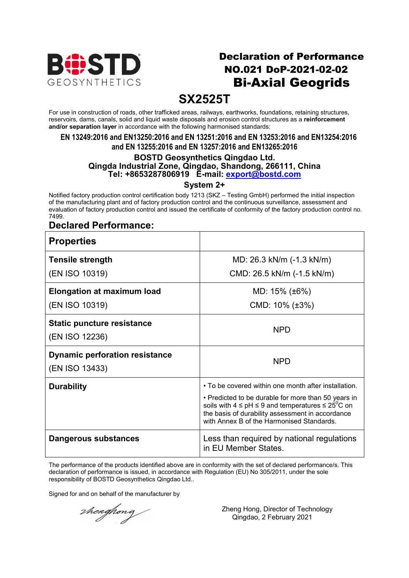

## Declaration of Performance NO.021 DoP-2021-02-02 Bi-Axial Geogrids

## **SX2525T**

For use in construction of roads, other trafficked areas, railways, earthworks, foundations, retaining structures, reservoirs, dams, canals, solid and liquid waste disposals and erosion control structures as a **reinforcement and/or separation layer** in accordance with the following harmonised standards:

#### **EN 13249:2016 and EN13250:2016 and EN 13251:2016 and EN 13253:2016 and EN13254:2016 and EN 13255:2016 and EN 13257:2016 and EN13265:2016**

#### **BOSTD Geosynthetics Qingdao Ltd. Qingda Industrial Zone, Qingdao, Shandong, 266111, China Tel: +8653287806919 E-mail: export@bostd.com**

**System 2+**

Notified factory production control certification body 1213 (SKZ – Testing GmbH) performed the initial inspection of the manufacturing plant and of factory production control and the continuous surveillance, assessment and evaluation of factory production control and issued the certificate of conformity of the factory production control no. 7499.

### **Declared Performance:**

| <b>Properties</b>                                       |                                                                                                                                                                                                                                                                                      |
|---------------------------------------------------------|--------------------------------------------------------------------------------------------------------------------------------------------------------------------------------------------------------------------------------------------------------------------------------------|
| <b>Tensile strength</b>                                 | MD: 26.3 kN/m (-1.3 kN/m)                                                                                                                                                                                                                                                            |
| (EN ISO 10319)                                          | CMD: 26.5 kN/m (-1.5 kN/m)                                                                                                                                                                                                                                                           |
| <b>Elongation at maximum load</b>                       | MD: 15% (±6%)                                                                                                                                                                                                                                                                        |
| (EN ISO 10319)                                          | CMD: $10\%$ ( $\pm 3\%$ )                                                                                                                                                                                                                                                            |
| <b>Static puncture resistance</b><br>(EN ISO 12236)     | <b>NPD</b>                                                                                                                                                                                                                                                                           |
| <b>Dynamic perforation resistance</b><br>(EN ISO 13433) | <b>NPD</b>                                                                                                                                                                                                                                                                           |
| <b>Durability</b>                                       | • To be covered within one month after installation.<br>• Predicted to be durable for more than 50 years in<br>soils with $4 \leq pH \leq 9$ and temperatures $\leq 25^{\circ}C$ on<br>the basis of durability assessment in accordance<br>with Annex B of the Harmonised Standards. |
| Dangerous substances                                    | Less than required by national regulations<br>in EU Member States.                                                                                                                                                                                                                   |

The performance of the products identified above are in conformity with the set of declared performance/s. This declaration of performance is issued, in accordance with Regulation (EU) No 305/2011, under the sole responsibility of BOSTD Geosynthetics Qingdao Ltd..

Signed for and on behalf of the manufacturer by

thenghong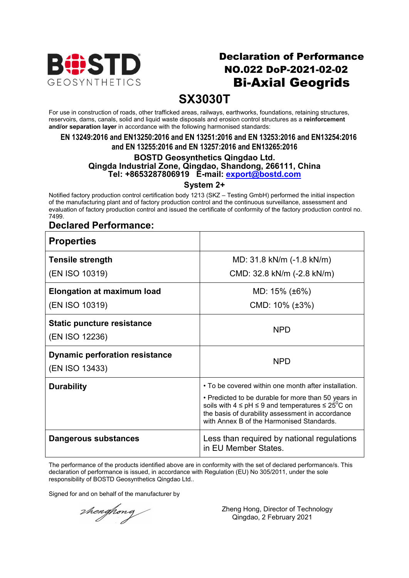

## Declaration of Performance NO.022 DoP-2021-02-02 Bi-Axial Geogrids

## **SX3030T**

For use in construction of roads, other trafficked areas, railways, earthworks, foundations, retaining structures, reservoirs, dams, canals, solid and liquid waste disposals and erosion control structures as a **reinforcement and/or separation layer** in accordance with the following harmonised standards:

#### **EN 13249:2016 and EN13250:2016 and EN 13251:2016 and EN 13253:2016 and EN13254:2016 and EN 13255:2016 and EN 13257:2016 and EN13265:2016**

### **BOSTD Geosynthetics Qingdao Ltd. Qingda Industrial Zone, Qingdao, Shandong, 266111, China Tel: +8653287806919 E-mail: export@bostd.com**

**System 2+**

Notified factory production control certification body 1213 (SKZ – Testing GmbH) performed the initial inspection of the manufacturing plant and of factory production control and the continuous surveillance, assessment and evaluation of factory production control and issued the certificate of conformity of the factory production control no. 7499.

### **Declared Performance:**

| <b>Properties</b>                                   |                                                                                                                                                                                                                              |
|-----------------------------------------------------|------------------------------------------------------------------------------------------------------------------------------------------------------------------------------------------------------------------------------|
| <b>Tensile strength</b>                             | MD: 31.8 kN/m (-1.8 kN/m)                                                                                                                                                                                                    |
| (EN ISO 10319)                                      | CMD: 32.8 kN/m (-2.8 kN/m)                                                                                                                                                                                                   |
| <b>Elongation at maximum load</b>                   | MD: 15% (±6%)                                                                                                                                                                                                                |
| (EN ISO 10319)                                      | CMD: $10\%$ ( $\pm 3\%$ )                                                                                                                                                                                                    |
| <b>Static puncture resistance</b><br>(EN ISO 12236) | <b>NPD</b>                                                                                                                                                                                                                   |
| <b>Dynamic perforation resistance</b>               |                                                                                                                                                                                                                              |
| (EN ISO 13433)                                      | <b>NPD</b>                                                                                                                                                                                                                   |
| <b>Durability</b>                                   | • To be covered within one month after installation.                                                                                                                                                                         |
|                                                     | • Predicted to be durable for more than 50 years in<br>soils with $4 \leq pH \leq 9$ and temperatures $\leq 25^{\circ}C$ on<br>the basis of durability assessment in accordance<br>with Annex B of the Harmonised Standards. |
| Dangerous substances                                | Less than required by national regulations<br>in EU Member States.                                                                                                                                                           |

The performance of the products identified above are in conformity with the set of declared performance/s. This declaration of performance is issued, in accordance with Regulation (EU) No 305/2011, under the sole responsibility of BOSTD Geosynthetics Qingdao Ltd..

Signed for and on behalf of the manufacturer by

thenghong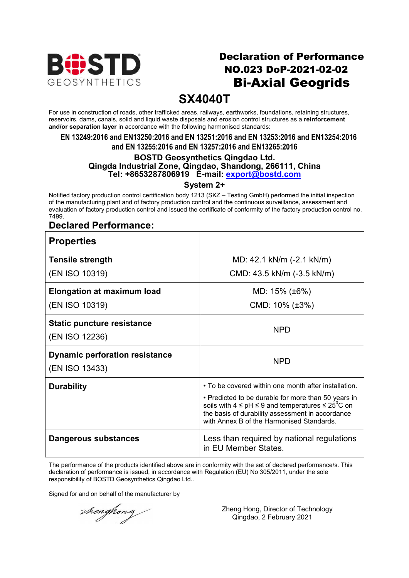

## Declaration of Performance NO.023 DoP-2021-02-02 Bi-Axial Geogrids

## **SX4040T**

For use in construction of roads, other trafficked areas, railways, earthworks, foundations, retaining structures, reservoirs, dams, canals, solid and liquid waste disposals and erosion control structures as a **reinforcement and/or separation layer** in accordance with the following harmonised standards:

#### **EN 13249:2016 and EN13250:2016 and EN 13251:2016 and EN 13253:2016 and EN13254:2016 and EN 13255:2016 and EN 13257:2016 and EN13265:2016**

#### **BOSTD Geosynthetics Qingdao Ltd. Qingda Industrial Zone, Qingdao, Shandong, 266111, China Tel: +8653287806919 E-mail: export@bostd.com**

**System 2+**

Notified factory production control certification body 1213 (SKZ – Testing GmbH) performed the initial inspection of the manufacturing plant and of factory production control and the continuous surveillance, assessment and evaluation of factory production control and issued the certificate of conformity of the factory production control no. 7499.

### **Declared Performance:**

| <b>Properties</b>                                       |                                                                                                                                                                                                                              |
|---------------------------------------------------------|------------------------------------------------------------------------------------------------------------------------------------------------------------------------------------------------------------------------------|
| <b>Tensile strength</b>                                 | MD: 42.1 kN/m (-2.1 kN/m)                                                                                                                                                                                                    |
| (EN ISO 10319)                                          | CMD: 43.5 kN/m (-3.5 kN/m)                                                                                                                                                                                                   |
| <b>Elongation at maximum load</b>                       | MD: $15\%$ ( $\pm 6\%$ )                                                                                                                                                                                                     |
| (EN ISO 10319)                                          | CMD: $10\%$ ( $\pm 3\%$ )                                                                                                                                                                                                    |
| <b>Static puncture resistance</b><br>(EN ISO 12236)     | <b>NPD</b>                                                                                                                                                                                                                   |
| <b>Dynamic perforation resistance</b><br>(EN ISO 13433) | <b>NPD</b>                                                                                                                                                                                                                   |
| <b>Durability</b>                                       | • To be covered within one month after installation.                                                                                                                                                                         |
|                                                         | • Predicted to be durable for more than 50 years in<br>soils with $4 \leq pH \leq 9$ and temperatures $\leq 25^{\circ}C$ on<br>the basis of durability assessment in accordance<br>with Annex B of the Harmonised Standards. |
| Dangerous substances                                    | Less than required by national regulations<br>in EU Member States.                                                                                                                                                           |

The performance of the products identified above are in conformity with the set of declared performance/s. This declaration of performance is issued, in accordance with Regulation (EU) No 305/2011, under the sole responsibility of BOSTD Geosynthetics Qingdao Ltd..

Signed for and on behalf of the manufacturer by

thenghong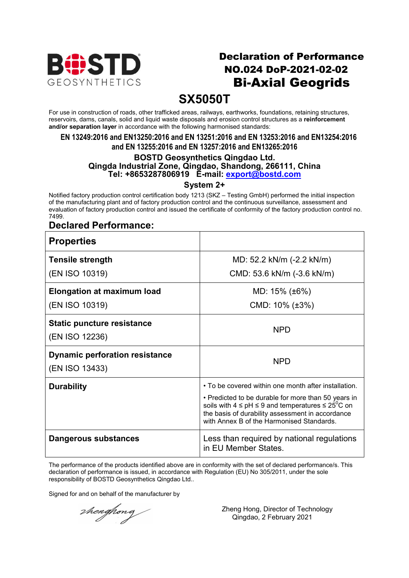

## Declaration of Performance NO.024 DoP-2021-02-02 Bi-Axial Geogrids

## **SX5050T**

For use in construction of roads, other trafficked areas, railways, earthworks, foundations, retaining structures, reservoirs, dams, canals, solid and liquid waste disposals and erosion control structures as a **reinforcement and/or separation layer** in accordance with the following harmonised standards:

#### **EN 13249:2016 and EN13250:2016 and EN 13251:2016 and EN 13253:2016 and EN13254:2016 and EN 13255:2016 and EN 13257:2016 and EN13265:2016**

#### **BOSTD Geosynthetics Qingdao Ltd. Qingda Industrial Zone, Qingdao, Shandong, 266111, China Tel: +8653287806919 E-mail: export@bostd.com**

**System 2+**

Notified factory production control certification body 1213 (SKZ – Testing GmbH) performed the initial inspection of the manufacturing plant and of factory production control and the continuous surveillance, assessment and evaluation of factory production control and issued the certificate of conformity of the factory production control no. 7499.

### **Declared Performance:**

| <b>Properties</b>                                       |                                                                                                                                                                                                                              |
|---------------------------------------------------------|------------------------------------------------------------------------------------------------------------------------------------------------------------------------------------------------------------------------------|
| <b>Tensile strength</b>                                 | MD: 52.2 kN/m (-2.2 kN/m)                                                                                                                                                                                                    |
| (EN ISO 10319)                                          | CMD: 53.6 kN/m (-3.6 kN/m)                                                                                                                                                                                                   |
| <b>Elongation at maximum load</b>                       | MD: $15\%$ ( $\pm 6\%$ )                                                                                                                                                                                                     |
| (EN ISO 10319)                                          | CMD: $10\%$ ( $\pm 3\%$ )                                                                                                                                                                                                    |
| <b>Static puncture resistance</b><br>(EN ISO 12236)     | <b>NPD</b>                                                                                                                                                                                                                   |
| <b>Dynamic perforation resistance</b><br>(EN ISO 13433) | <b>NPD</b>                                                                                                                                                                                                                   |
| <b>Durability</b>                                       | • To be covered within one month after installation.                                                                                                                                                                         |
|                                                         | • Predicted to be durable for more than 50 years in<br>soils with $4 \leq pH \leq 9$ and temperatures $\leq 25^{\circ}C$ on<br>the basis of durability assessment in accordance<br>with Annex B of the Harmonised Standards. |
| Dangerous substances                                    | Less than required by national regulations<br>in EU Member States.                                                                                                                                                           |

The performance of the products identified above are in conformity with the set of declared performance/s. This declaration of performance is issued, in accordance with Regulation (EU) No 305/2011, under the sole responsibility of BOSTD Geosynthetics Qingdao Ltd..

Signed for and on behalf of the manufacturer by

thenghong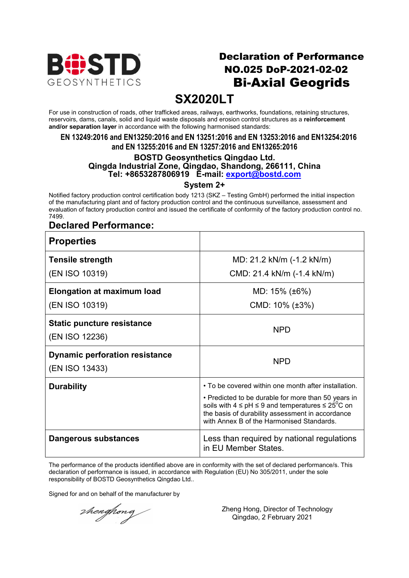

## Declaration of Performance NO.025 DoP-2021-02-02 Bi-Axial Geogrids

# **SX2020LT**

For use in construction of roads, other trafficked areas, railways, earthworks, foundations, retaining structures, reservoirs, dams, canals, solid and liquid waste disposals and erosion control structures as a **reinforcement and/or separation layer** in accordance with the following harmonised standards:

#### **EN 13249:2016 and EN13250:2016 and EN 13251:2016 and EN 13253:2016 and EN13254:2016 and EN 13255:2016 and EN 13257:2016 and EN13265:2016**

#### **BOSTD Geosynthetics Qingdao Ltd. Qingda Industrial Zone, Qingdao, Shandong, 266111, China Tel: +8653287806919 E-mail: export@bostd.com**

**System 2+**

Notified factory production control certification body 1213 (SKZ – Testing GmbH) performed the initial inspection of the manufacturing plant and of factory production control and the continuous surveillance, assessment and evaluation of factory production control and issued the certificate of conformity of the factory production control no. 7499.

### **Declared Performance:**

| <b>Properties</b>                                       |                                                                                                                                                                                                                                                                                      |
|---------------------------------------------------------|--------------------------------------------------------------------------------------------------------------------------------------------------------------------------------------------------------------------------------------------------------------------------------------|
| <b>Tensile strength</b>                                 | MD: 21.2 kN/m (-1.2 kN/m)                                                                                                                                                                                                                                                            |
| (EN ISO 10319)                                          | CMD: 21.4 kN/m (-1.4 kN/m)                                                                                                                                                                                                                                                           |
| <b>Elongation at maximum load</b>                       | MD: 15% (±6%)                                                                                                                                                                                                                                                                        |
| (EN ISO 10319)                                          | CMD: $10\%$ ( $\pm 3\%$ )                                                                                                                                                                                                                                                            |
| <b>Static puncture resistance</b><br>(EN ISO 12236)     | <b>NPD</b>                                                                                                                                                                                                                                                                           |
| <b>Dynamic perforation resistance</b><br>(EN ISO 13433) | <b>NPD</b>                                                                                                                                                                                                                                                                           |
| <b>Durability</b>                                       | • To be covered within one month after installation.<br>• Predicted to be durable for more than 50 years in<br>soils with $4 \leq pH \leq 9$ and temperatures $\leq 25^{\circ}C$ on<br>the basis of durability assessment in accordance<br>with Annex B of the Harmonised Standards. |
| Dangerous substances                                    | Less than required by national regulations<br>in EU Member States.                                                                                                                                                                                                                   |

The performance of the products identified above are in conformity with the set of declared performance/s. This declaration of performance is issued, in accordance with Regulation (EU) No 305/2011, under the sole responsibility of BOSTD Geosynthetics Qingdao Ltd..

Signed for and on behalf of the manufacturer by

thenghong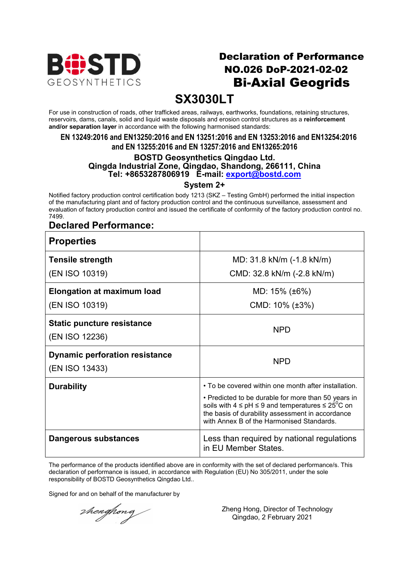

## Declaration of Performance NO.026 DoP-2021-02-02 Bi-Axial Geogrids

# **SX3030LT**

For use in construction of roads, other trafficked areas, railways, earthworks, foundations, retaining structures, reservoirs, dams, canals, solid and liquid waste disposals and erosion control structures as a **reinforcement and/or separation layer** in accordance with the following harmonised standards:

#### **EN 13249:2016 and EN13250:2016 and EN 13251:2016 and EN 13253:2016 and EN13254:2016 and EN 13255:2016 and EN 13257:2016 and EN13265:2016**

#### **BOSTD Geosynthetics Qingdao Ltd. Qingda Industrial Zone, Qingdao, Shandong, 266111, China Tel: +8653287806919 E-mail: export@bostd.com**

**System 2+**

Notified factory production control certification body 1213 (SKZ – Testing GmbH) performed the initial inspection of the manufacturing plant and of factory production control and the continuous surveillance, assessment and evaluation of factory production control and issued the certificate of conformity of the factory production control no. 7499.

### **Declared Performance:**

| <b>Properties</b>                                       |                                                                                                                                                                                                                                                                                      |
|---------------------------------------------------------|--------------------------------------------------------------------------------------------------------------------------------------------------------------------------------------------------------------------------------------------------------------------------------------|
| <b>Tensile strength</b>                                 | MD: 31.8 kN/m (-1.8 kN/m)                                                                                                                                                                                                                                                            |
| (EN ISO 10319)                                          | CMD: 32.8 kN/m (-2.8 kN/m)                                                                                                                                                                                                                                                           |
| <b>Elongation at maximum load</b>                       | MD: $15\%$ ( $\pm 6\%$ )                                                                                                                                                                                                                                                             |
| (EN ISO 10319)                                          | CMD: $10\%$ ( $\pm 3\%$ )                                                                                                                                                                                                                                                            |
| <b>Static puncture resistance</b><br>(EN ISO 12236)     | <b>NPD</b>                                                                                                                                                                                                                                                                           |
| <b>Dynamic perforation resistance</b><br>(EN ISO 13433) | <b>NPD</b>                                                                                                                                                                                                                                                                           |
| <b>Durability</b>                                       | • To be covered within one month after installation.<br>• Predicted to be durable for more than 50 years in<br>soils with $4 \leq pH \leq 9$ and temperatures $\leq 25^{\circ}C$ on<br>the basis of durability assessment in accordance<br>with Annex B of the Harmonised Standards. |
| Dangerous substances                                    | Less than required by national regulations<br>in EU Member States.                                                                                                                                                                                                                   |

The performance of the products identified above are in conformity with the set of declared performance/s. This declaration of performance is issued, in accordance with Regulation (EU) No 305/2011, under the sole responsibility of BOSTD Geosynthetics Qingdao Ltd..

Signed for and on behalf of the manufacturer by

thenghong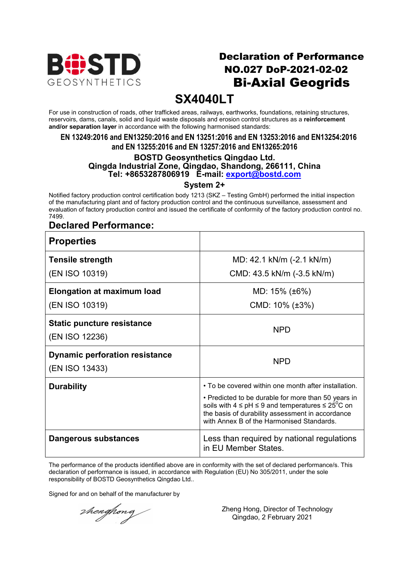

## Declaration of Performance NO.027 DoP-2021-02-02 Bi-Axial Geogrids

# **SX4040LT**

For use in construction of roads, other trafficked areas, railways, earthworks, foundations, retaining structures, reservoirs, dams, canals, solid and liquid waste disposals and erosion control structures as a **reinforcement and/or separation layer** in accordance with the following harmonised standards:

#### **EN 13249:2016 and EN13250:2016 and EN 13251:2016 and EN 13253:2016 and EN13254:2016 and EN 13255:2016 and EN 13257:2016 and EN13265:2016**

#### **BOSTD Geosynthetics Qingdao Ltd. Qingda Industrial Zone, Qingdao, Shandong, 266111, China Tel: +8653287806919 E-mail: export@bostd.com**

### **System 2+**

Notified factory production control certification body 1213 (SKZ – Testing GmbH) performed the initial inspection of the manufacturing plant and of factory production control and the continuous surveillance, assessment and evaluation of factory production control and issued the certificate of conformity of the factory production control no. 7499.

### **Declared Performance:**

| <b>Properties</b>                     |                                                                                                                                                                                                                              |
|---------------------------------------|------------------------------------------------------------------------------------------------------------------------------------------------------------------------------------------------------------------------------|
| <b>Tensile strength</b>               | MD: 42.1 kN/m (-2.1 kN/m)                                                                                                                                                                                                    |
| (EN ISO 10319)                        | CMD: 43.5 kN/m (-3.5 kN/m)                                                                                                                                                                                                   |
| <b>Elongation at maximum load</b>     | MD: 15% (±6%)                                                                                                                                                                                                                |
| (EN ISO 10319)                        | CMD: $10\%$ ( $\pm 3\%$ )                                                                                                                                                                                                    |
| <b>Static puncture resistance</b>     | <b>NPD</b>                                                                                                                                                                                                                   |
| (EN ISO 12236)                        |                                                                                                                                                                                                                              |
| <b>Dynamic perforation resistance</b> | <b>NPD</b>                                                                                                                                                                                                                   |
| (EN ISO 13433)                        |                                                                                                                                                                                                                              |
| <b>Durability</b>                     | • To be covered within one month after installation.                                                                                                                                                                         |
|                                       | • Predicted to be durable for more than 50 years in<br>soils with $4 \leq pH \leq 9$ and temperatures $\leq 25^{\circ}C$ on<br>the basis of durability assessment in accordance<br>with Annex B of the Harmonised Standards. |
| Dangerous substances                  | Less than required by national regulations<br>in EU Member States.                                                                                                                                                           |

The performance of the products identified above are in conformity with the set of declared performance/s. This declaration of performance is issued, in accordance with Regulation (EU) No 305/2011, under the sole responsibility of BOSTD Geosynthetics Qingdao Ltd..

Signed for and on behalf of the manufacturer by

thenghong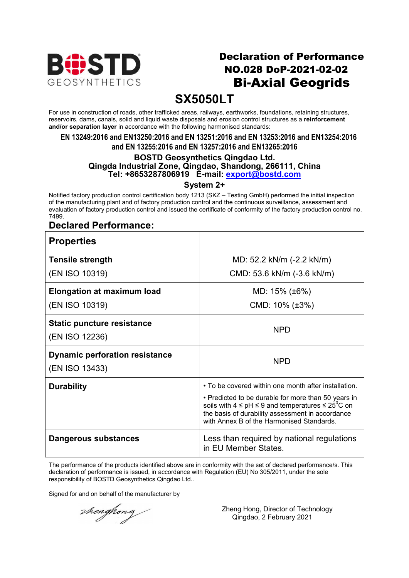

## Declaration of Performance NO.028 DoP-2021-02-02 Bi-Axial Geogrids

# **SX5050LT**

For use in construction of roads, other trafficked areas, railways, earthworks, foundations, retaining structures, reservoirs, dams, canals, solid and liquid waste disposals and erosion control structures as a **reinforcement and/or separation layer** in accordance with the following harmonised standards:

#### **EN 13249:2016 and EN13250:2016 and EN 13251:2016 and EN 13253:2016 and EN13254:2016 and EN 13255:2016 and EN 13257:2016 and EN13265:2016**

#### **BOSTD Geosynthetics Qingdao Ltd. Qingda Industrial Zone, Qingdao, Shandong, 266111, China Tel: +8653287806919 E-mail: export@bostd.com**

### **System 2+**

Notified factory production control certification body 1213 (SKZ – Testing GmbH) performed the initial inspection of the manufacturing plant and of factory production control and the continuous surveillance, assessment and evaluation of factory production control and issued the certificate of conformity of the factory production control no. 7499.

### **Declared Performance:**

| <b>Properties</b>                                       |                                                                                                                                                                                                                              |
|---------------------------------------------------------|------------------------------------------------------------------------------------------------------------------------------------------------------------------------------------------------------------------------------|
| <b>Tensile strength</b>                                 | MD: 52.2 kN/m (-2.2 kN/m)                                                                                                                                                                                                    |
| (EN ISO 10319)                                          | CMD: 53.6 kN/m (-3.6 kN/m)                                                                                                                                                                                                   |
| <b>Elongation at maximum load</b>                       | MD: 15% (±6%)                                                                                                                                                                                                                |
| (EN ISO 10319)                                          | CMD: $10\%$ ( $\pm 3\%$ )                                                                                                                                                                                                    |
| <b>Static puncture resistance</b><br>(EN ISO 12236)     | NPD.                                                                                                                                                                                                                         |
| <b>Dynamic perforation resistance</b><br>(EN ISO 13433) | <b>NPD</b>                                                                                                                                                                                                                   |
| <b>Durability</b>                                       | • To be covered within one month after installation.                                                                                                                                                                         |
|                                                         | • Predicted to be durable for more than 50 years in<br>soils with $4 \leq pH \leq 9$ and temperatures $\leq 25^{\circ}C$ on<br>the basis of durability assessment in accordance<br>with Annex B of the Harmonised Standards. |
| Dangerous substances                                    | Less than required by national regulations<br>in EU Member States.                                                                                                                                                           |

The performance of the products identified above are in conformity with the set of declared performance/s. This declaration of performance is issued, in accordance with Regulation (EU) No 305/2011, under the sole responsibility of BOSTD Geosynthetics Qingdao Ltd..

Signed for and on behalf of the manufacturer by

thenghong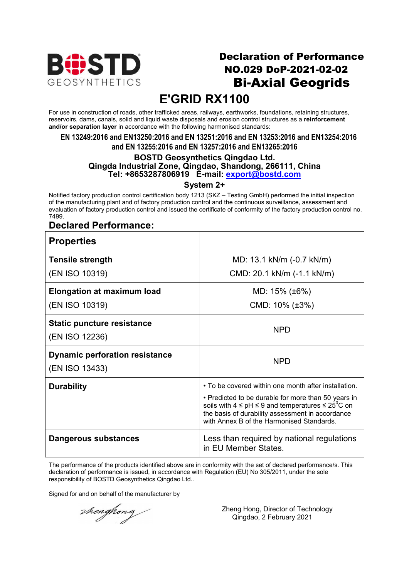

## Declaration of Performance NO.029 DoP-2021-02-02 Bi-Axial Geogrids

# **E'GRID RX1100**

For use in construction of roads, other trafficked areas, railways, earthworks, foundations, retaining structures, reservoirs, dams, canals, solid and liquid waste disposals and erosion control structures as a **reinforcement and/or separation layer** in accordance with the following harmonised standards:

**EN 13249:2016 and EN13250:2016 and EN 13251:2016 and EN 13253:2016 and EN13254:2016 and EN 13255:2016 and EN 13257:2016 and EN13265:2016**

#### **BOSTD Geosynthetics Qingdao Ltd. Qingda Industrial Zone, Qingdao, Shandong, 266111, China Tel: +8653287806919 E-mail: export@bostd.com**

**System 2+**

Notified factory production control certification body 1213 (SKZ – Testing GmbH) performed the initial inspection of the manufacturing plant and of factory production control and the continuous surveillance, assessment and evaluation of factory production control and issued the certificate of conformity of the factory production control no. 7499.

### **Declared Performance:**

| <b>Properties</b>                                       |                                                                                                                                                                                                                              |
|---------------------------------------------------------|------------------------------------------------------------------------------------------------------------------------------------------------------------------------------------------------------------------------------|
| <b>Tensile strength</b>                                 | MD: 13.1 kN/m (-0.7 kN/m)                                                                                                                                                                                                    |
| (EN ISO 10319)                                          | CMD: 20.1 kN/m (-1.1 kN/m)                                                                                                                                                                                                   |
| <b>Elongation at maximum load</b>                       | MD: $15\%$ ( $\pm 6\%$ )                                                                                                                                                                                                     |
| (EN ISO 10319)                                          | CMD: $10\%$ ( $\pm 3\%$ )                                                                                                                                                                                                    |
| <b>Static puncture resistance</b><br>(EN ISO 12236)     | <b>NPD</b>                                                                                                                                                                                                                   |
| <b>Dynamic perforation resistance</b><br>(EN ISO 13433) | <b>NPD</b>                                                                                                                                                                                                                   |
| <b>Durability</b>                                       | • To be covered within one month after installation.                                                                                                                                                                         |
|                                                         | • Predicted to be durable for more than 50 years in<br>soils with $4 \leq pH \leq 9$ and temperatures $\leq 25^{\circ}C$ on<br>the basis of durability assessment in accordance<br>with Annex B of the Harmonised Standards. |
| Dangerous substances                                    | Less than required by national regulations<br>in EU Member States.                                                                                                                                                           |

The performance of the products identified above are in conformity with the set of declared performance/s. This declaration of performance is issued, in accordance with Regulation (EU) No 305/2011, under the sole responsibility of BOSTD Geosynthetics Qingdao Ltd..

Signed for and on behalf of the manufacturer by

thenghong